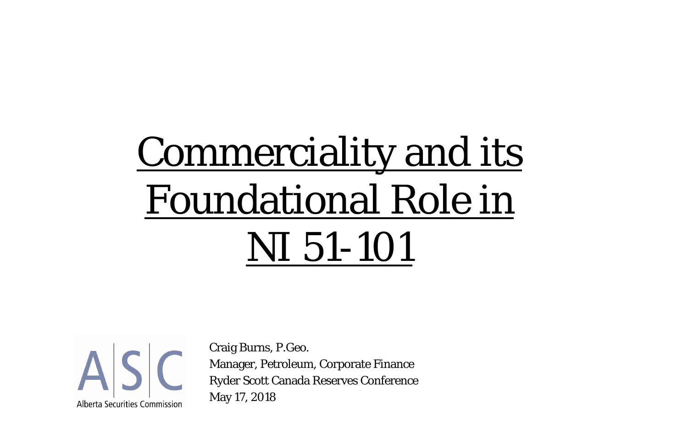# Commerciality and its Foundational Role in NI 51-101



Craig Burns, P.Geo. Manager, Petroleum, Corporate Finance Ryder Scott Canada Reserves Conference May 17, 2018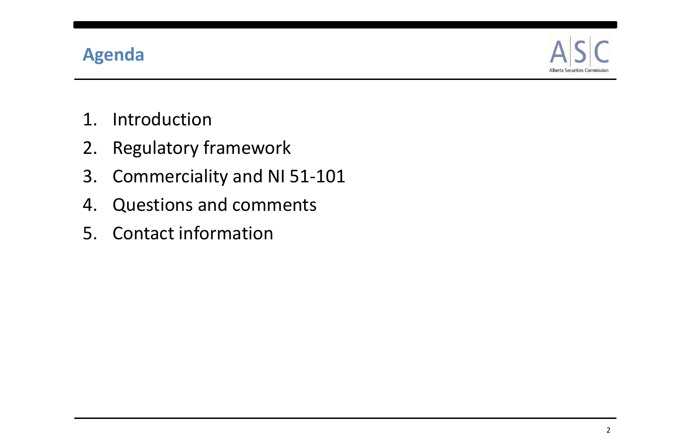

- 1. Introduction
- 2. Regulatory framework
- 3. Commerciality and NI 51‐101
- 4. Questions and comments
- 5. Contact information

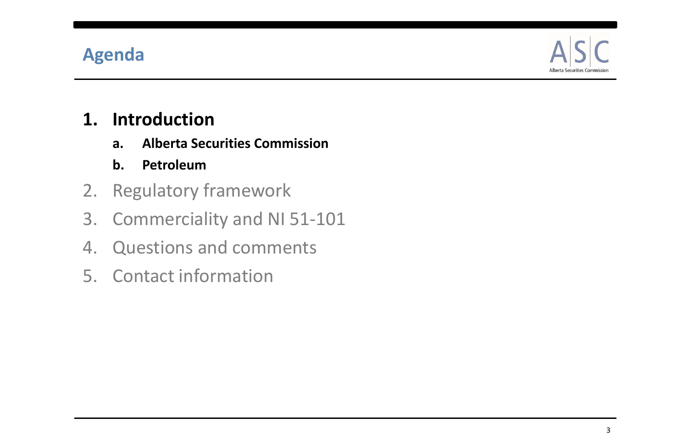

### **1. Introduction**

- **a. Alberta Securities Commission**
- **b. Petroleum**
- 2. Regulatory framework
- 3. Commerciality and NI 51‐101
- 4. Questions and comments
- 5. Contact information

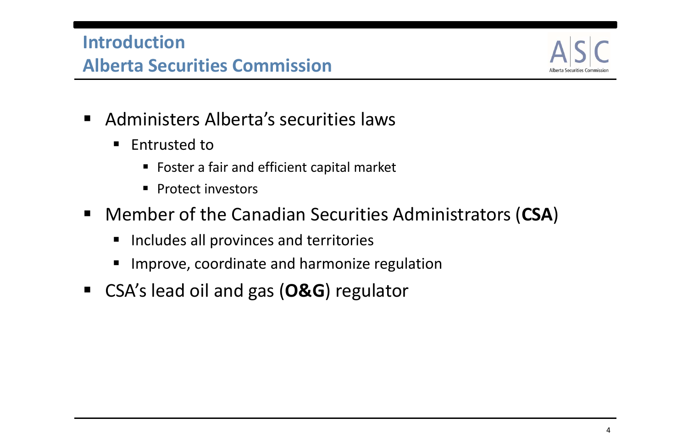- Administers Alberta's securities laws
	- $\blacksquare$ **Entrusted to** 
		- **Foster a fair and efficient capital market**
		- **Protect investors**
- Member of the Canadian Securities Administrators (**CSA**)
	- $\blacksquare$ Includes all provinces and territories
	- $\blacksquare$ Improve, coordinate and harmonize regulation
- CSA's lead oil and gas (**O&G**) regulator



### **Introduction**

### **Alberta Securities Commission**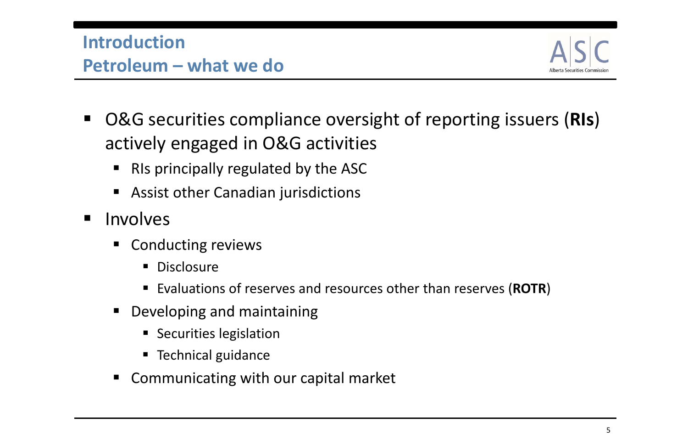- O&G securities compliance oversight of reporting issuers (**RIs**) actively engaged in O&G activities
	- $\blacksquare$ RIs principally regulated by the ASC
	- Assist other Canadian jurisdictions
- Involves
	- Conducting reviews
		- **Disclosure**
		- Evaluations of reserves and resources other than reserves (ROTR)
	- $\blacksquare$  Developing and maintaining
		- **Securities legislation**
		- **Technical guidance**
	- $\blacksquare$ Communicating with our capital market



5

### **IntroductionPetroleum – what we do**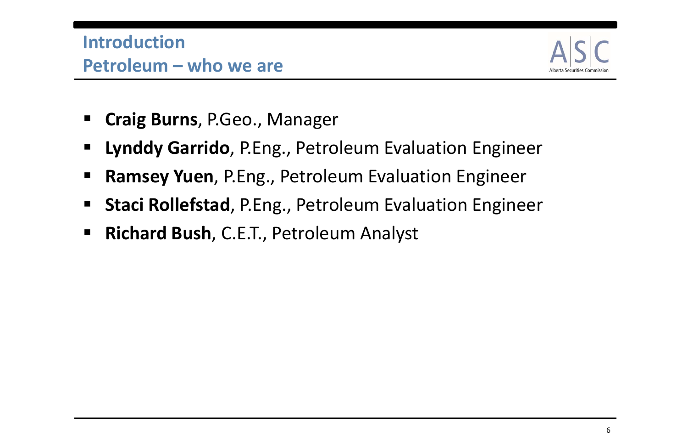- **Craig Burns**, P.Geo., Manager
- **Lynddy Garrido**, P.Eng., Petroleum Evaluation Engineer
- **Ramsey Yuen**, P.Eng., Petroleum Evaluation Engineer
- **Staci Rollefstad**, P.Eng., Petroleum Evaluation Engineer
- **Richard Bush**, C.E.T., Petroleum Analyst



### **IntroductionPetroleum – who we are**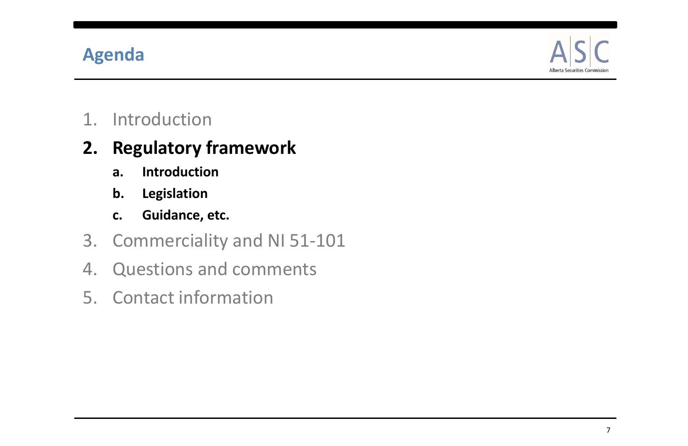### **Agenda**

1. Introduction

# **2. Regulatory framework**

- **a. Introduction**
- **b. Legislation**
- **c. Guidance, etc.**
- 3. Commerciality and NI 51‐101
- 4. Questions and comments
- 5. Contact information

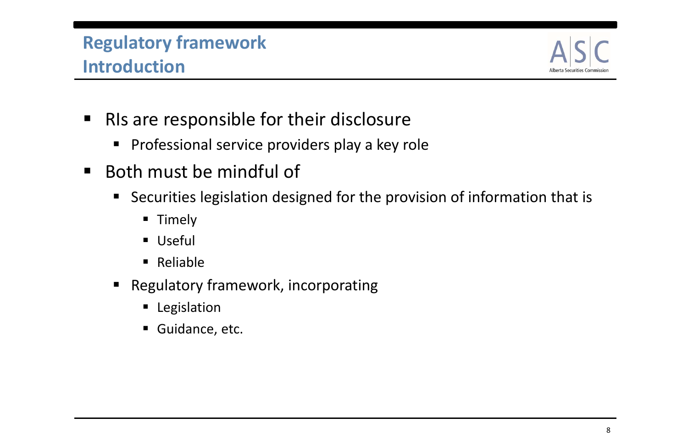### **Regulatory framework Introduction**

- **RIS are responsible for their disclosure** 
	- **Professional service providers play a key role**
- Both must be mindful of
	- Securities legislation designed for the provision of information that is
		- **Timely**
		- Useful
		- **Reliable**
	- $\blacksquare$  Regulatory framework, incorporating
		- **E** Legislation
		- Guidance, etc.

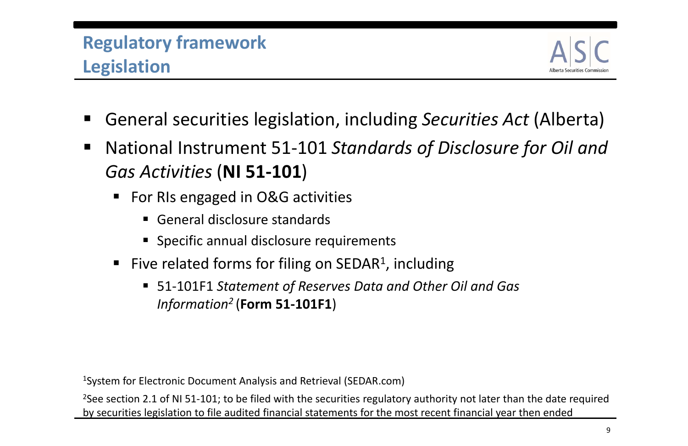### **Regulatory framework Legislation**

- General securities legislation, including *Securities Act* (Alberta)
- $\blacksquare$  National Instrument 51‐101 *Standards of Disclosure for Oil and Gas Activities* (**NI 51‐101**)
	- For RIs engaged in O&G activities
		- General disclosure standards
		- **Specific annual disclosure requirements**
	- Five related forms for filing on SEDAR<sup>1</sup>, including
		- 51‐101F1 *Statement of Reserves Data and Other Oil and Gas Information2* (**Form 51‐101F1**)

<sup>2</sup>See section 2.1 of NI 51-101; to be filed with the securities regulatory authority not later than the date required by securities legislation to file audited financial statements for the most recent financial year then ended



1System for Electronic Document Analysis and Retrieval (SEDAR.com)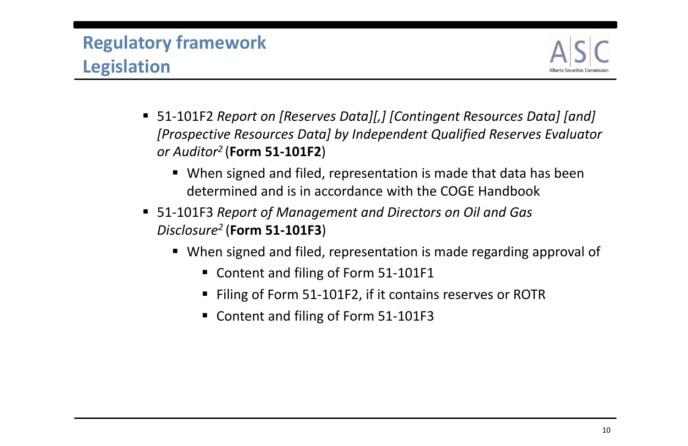### **Regulatory framework Legislation**

- 51‐101F2 *Report on [Reserves Data][,] [Contingent Resources Data] [and] [Prospective Resources Data] by Independent Qualified Reserves Evaluator or Auditor2* (**Form 51‐101F2**)
	- When signed and filed, representation is made that data has been determined and is in accordance with the COGE Handbook
- 51‐101F3 *Report of Management and Directors on Oil and Gas Disclosure2* (**Form 51‐101F3**)
	- When signed and filed, representation is made regarding approval of
		- Content and filing of Form 51-101F1
		- Filing of Form 51-101F2, if it contains reserves or ROTR
		- Content and filing of Form 51-101F3

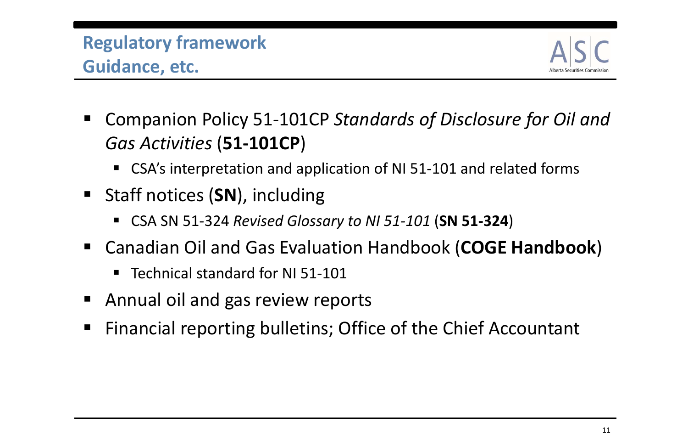### **Regulatory framework Guidance, etc.**

- Companion Policy 51‐101CP *Standards of Disclosure for Oil and Gas Activities* (**51‐101CP**)
	- CSA's interpretation and application of NI 51-101 and related forms
- Staff notices (SN), including
	- CSA SN 51‐324 *Revised Glossary to NI 51‐101* (**SN 51‐324**)
- Canadian Oil and Gas Evaluation Handbook (**COGE Handbook**)
	- ■ Technical standard for NI 51-101
- **E** Annual oil and gas review reports
- Financial reporting bulletins; Office of the Chief Accountant

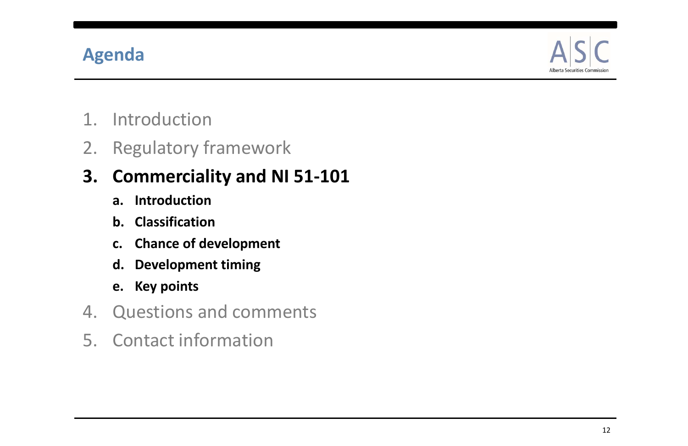### **Agenda**

- 1. Introduction
- 2. Regulatory framework

# **3. Commerciality and NI 51‐101**

- **a. Introduction**
- **b. Classification**
- **c. Chance of development**
- **d. Development timing**
- **e. Key points**
- 4. Questions and comments
- 5. Contact information

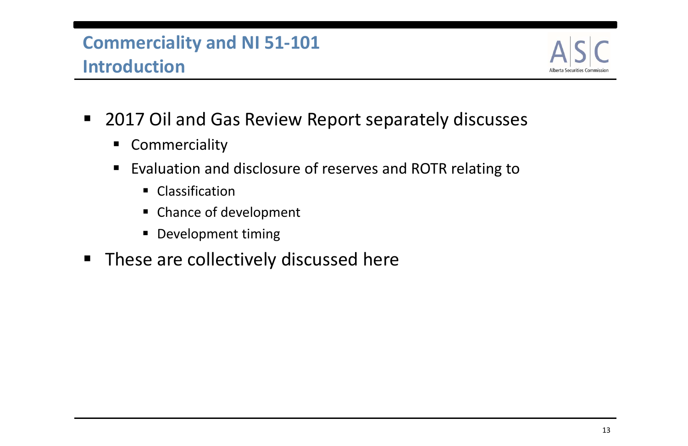- 2017 Oil and Gas Review Report separately discusses
	- **E** Commerciality
	- $\blacksquare$ ■ Evaluation and disclosure of reserves and ROTR relating to
		- **Classification**
		- **Example of development**
		- **Development timing**
- **These are collectively discussed here**

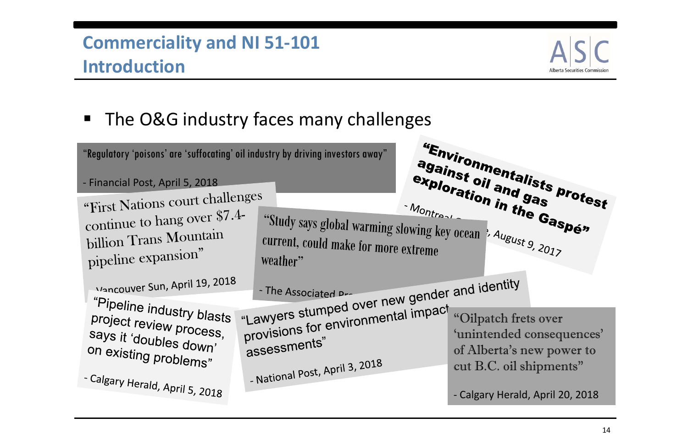$\blacksquare$ ■ The O&G industry faces many challenges





'unintended consequences' of Alberta's new power to cut B.C. oil shipments"

Calgary Herald, April 20, 2018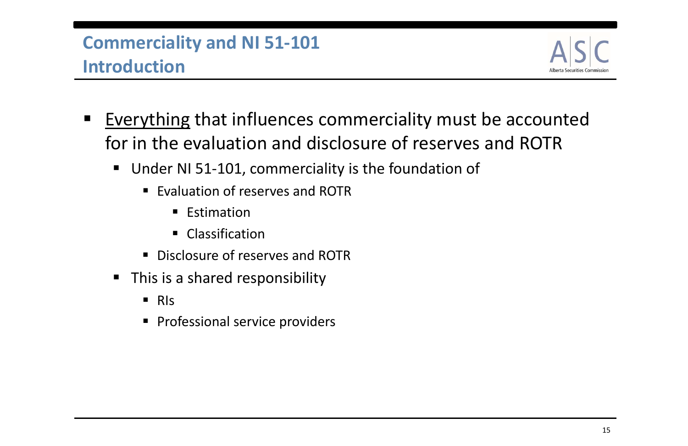- $\blacksquare$  Everything that influences commerciality must be accounted for in the evaluation and disclosure of reserves and ROTR
	- Under NI 51-101, commerciality is the foundation of
		- **Evaluation of reserves and ROTR** 
			- **Estimation**
			- **Classification**
		- **Disclosure of reserves and ROTR**
	- **This is a shared responsibility** 
		- RIs
		- **Professional service providers**

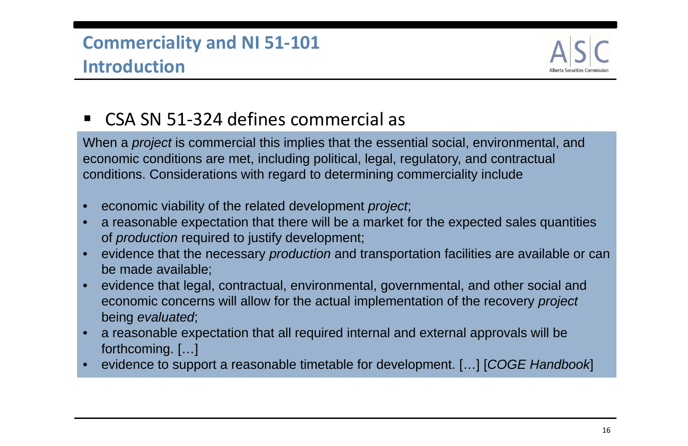### $\blacksquare$ ■ CSA SN 51-324 defines commercial as

When a *project* is commercial this implies that the essential social, environmental, and economic conditions are met, including political, legal, regulatory, and contractual conditions. Considerations with regard to determining commerciality include

- •economic viability of the related development *project*;
- • a reasonable expectation that there will be a market for the expected sales quantities of *production* required to justify development;
- • evidence that the necessary *production* and transportation facilities are available or can be made available;
- • evidence that legal, contractual, environmental, governmental, and other social and economic concerns will allow for the actual implementation of the recovery *project*  being *evaluated*;
- • a reasonable expectation that all required internal and external approvals will be forthcoming. […]
- •evidence to support a reasonable timetable for development. […] [*COGE Handbook*]

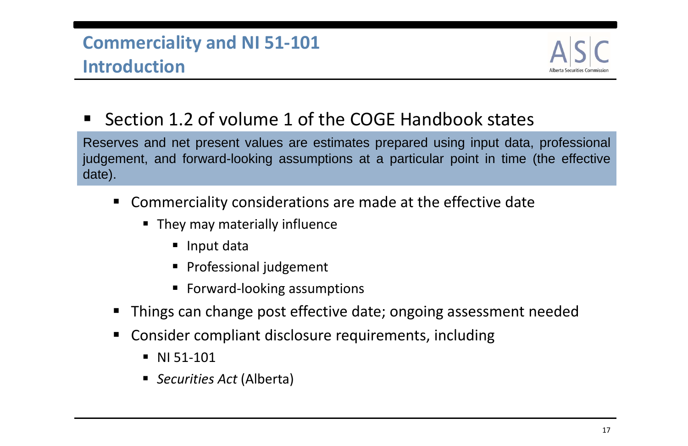- $\blacksquare$  Commerciality considerations are made at the effective date
	- **They may materially influence** 
		- Input data
		- **Professional judgement**
		- Forward-looking assumptions
- $\blacksquare$ Things can change post effective date; ongoing assessment needed
- Consider compliant disclosure requirements, including
	- NI 51-101
	- *Securities Act* (Alberta)



 $\blacksquare$ ■ Section 1.2 of volume 1 of the COGE Handbook states

Reserves and net present values are estimates prepared using input data, professional judgement, and forward-looking assumptions at <sup>a</sup> particular point in time (the effective date).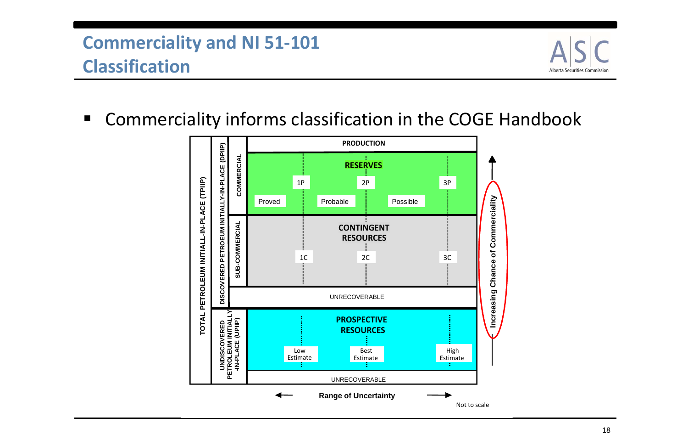Commerciality informs classification in the COGE Handbook





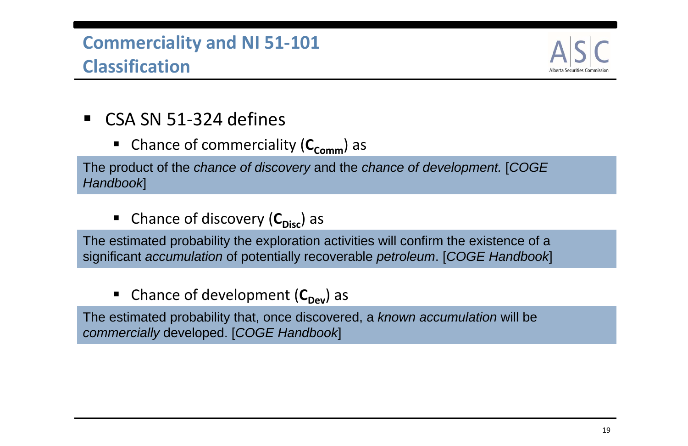### ■ CSA SN 51-324 defines

**E** Chance of commerciality (C<sub>comm</sub>) as

The product of the *chance of discovery* and the *chance of development.* [*COGE Handbook*]

**E** Chance of discovery (C<sub>Disc</sub>) as

The estimated probability the exploration activities will confirm the existence of a significant *accumulation* of potentially recoverable *petroleum*. [*COGE Handbook*]

### **E** Chance of development (C<sub>Dev</sub>) as

The estimated probability that, once discovered, a *known accumulation* will be *commercially* developed. [*COGE Handbook*]

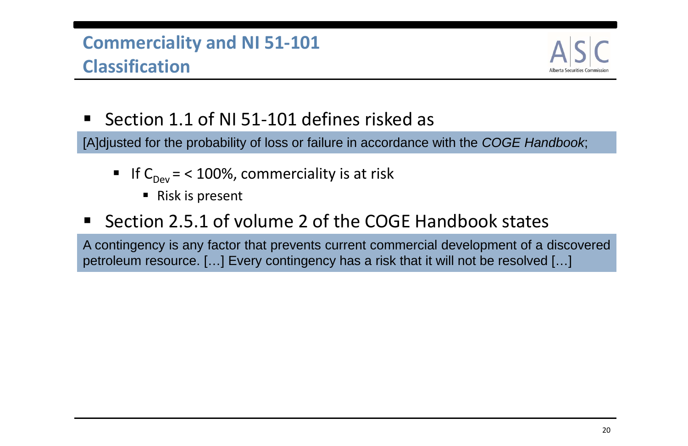- $\blacksquare$ ■ Section 1.1 of NI 51-101 defines risked as [A]djusted for the probability of loss or failure in accordance with the *COGE Handbook*;
	- If  $C_{\text{Dev}}$  = < 100%, commerciality is at risk
		- Risk is present
- Section 2.5.1 of volume 2 of the COGE Handbook states

A contingency is any factor that prevents current commercial development of <sup>a</sup> discovered petroleum resource. […] Every contingency has <sup>a</sup> risk that it will not be resolved […]

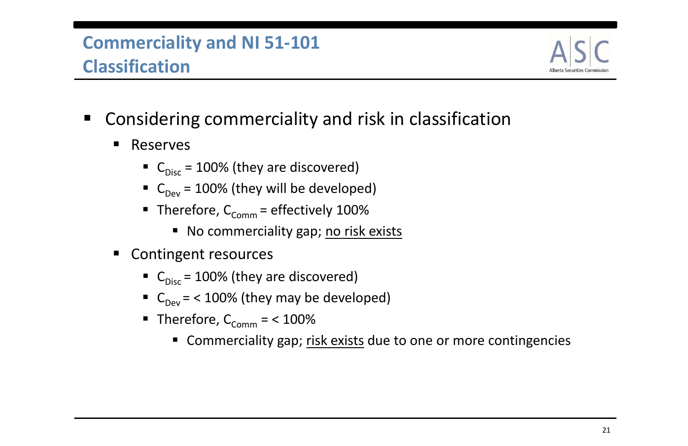- Considering commerciality and risk in classification
	- $\blacksquare$  Reserves
		- $\blacksquare$  C<sub>Disc</sub> = 100% (they are discovered)
		- $C_{\text{Dev}}$  = 100% (they will be developed)
		- $\blacksquare$  Therefore,  $\mathsf{C}_{\mathsf{comm}}$  = effectively 100%
			- No commerciality gap; no risk exists
	- Contingent resources
		- $\blacksquare$  C<sub>Disc</sub> = 100% (they are discovered)
		- $C_{\text{Dev}}$  = < 100% (they may be developed)
		- $\blacksquare$  Therefore,  $\mathsf{C}_{\mathsf{Comm}} =$  < 100%
			- **Commerciality gap; risk exists due to one or more contingencies**

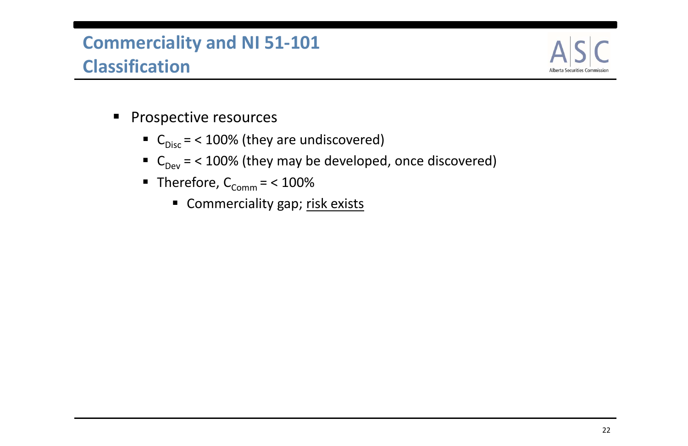- **Prospective resources** 
	- $\blacksquare$  C<sub>Disc</sub> = < 100% (they are undiscovered)
	- $C_{\text{Dev}}$  = < 100% (they may be developed, once discovered)
	- $\blacksquare$  Therefore,  $\mathsf{C}_\mathsf{Comm} =$  < 100%
		- Commerciality gap; risk exists

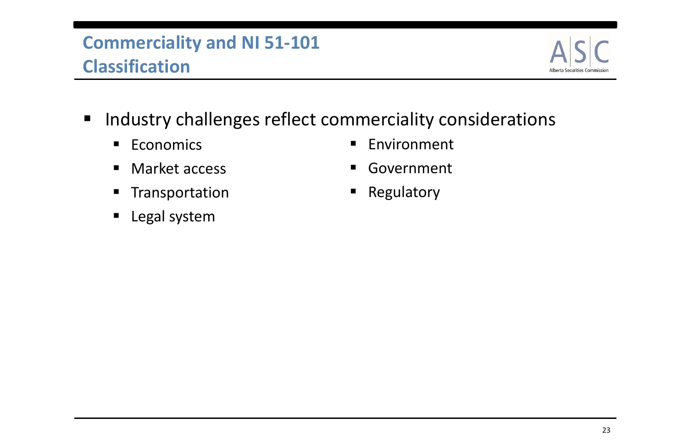- **Industry challenges reflect commerciality considerations** 
	- **Economics**
	- $\blacksquare$ Market access
	- $\blacksquare$ Transportation
	- $\blacksquare$ Legal system
- $\blacksquare$ Environment
- $\blacksquare$ Government
- **Regulatory**

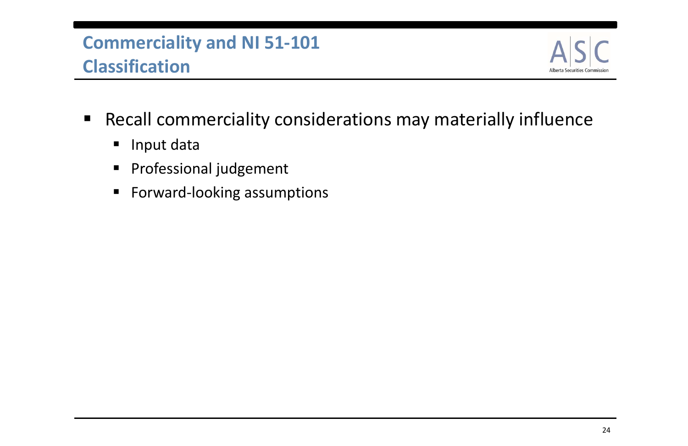- Recall commerciality considerations may materially influence
	- $\blacksquare$ Input data
	- $\blacksquare$ Professional judgement
	- $\blacksquare$ Forward‐looking assumptions

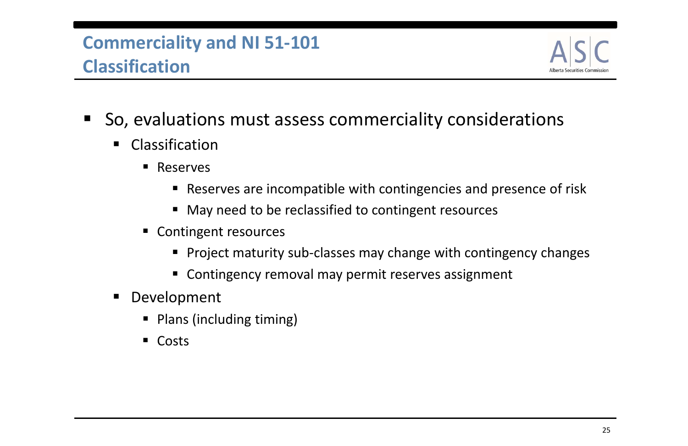- So, evaluations must assess commerciality considerations
	- $\blacksquare$ **E** Classification
		- **Reserves** 
			- Reserves are incompatible with contingencies and presence of risk
			- May need to be reclassified to contingent resources
		- **Contingent resources** 
			- Project maturity sub-classes may change with contingency changes
			- **EXP** Contingency removal may permit reserves assignment
	- $\blacksquare$  Development
		- **Plans (including timing)**
		- Costs

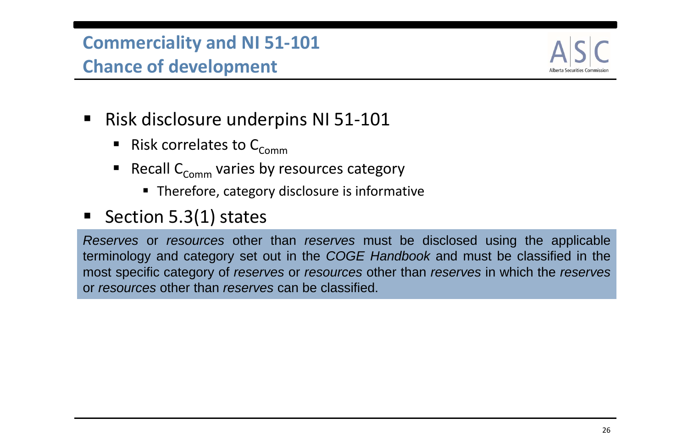### **Commerciality and NI 51‐101 Chance of development**

- Risk disclosure underpins NI 51-101
	- **Risk correlates to**  $C_{\text{Comm}}$
	- **Recall C<sub>Comm</sub> varies by resources category** 
		- **Therefore, category disclosure is informative**
- Section 5.3(1) states

*Reserves* or *resources* other than *reserves* must be disclosed using the applicable terminology and category set out in the *COGE Handbook* and must be classified in the most specific category of *reserves* or *resources* other than *reserves* in which the *reserves* or *resources* other than *reserves* can be classified.

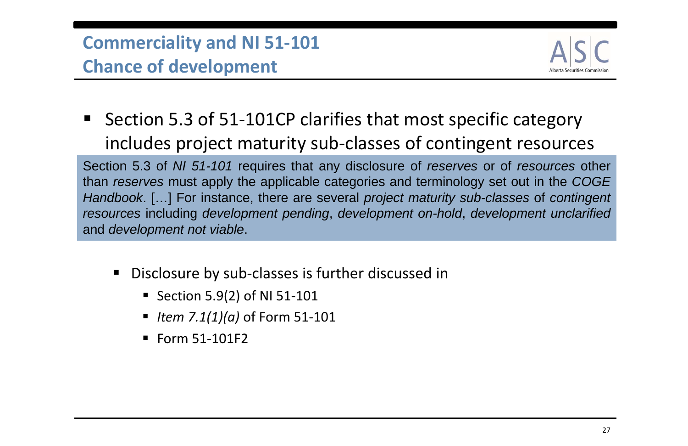■ Section 5.3 of 51-101CP clarifies that most specific category includes project maturity sub‐classes of contingent resources

### **Commerciality and NI 51‐101 Chance of development**

Section 5.3 of *NI 51-101* requires that any disclosure of *reserves* or of *resources* other than *reserves* must apply the applicable categories and terminology set out in the *COGE Handbook*. […] For instance, there are several *project maturity sub-classes* of *contingent resources* including *development pending*, *development on-hold*, *development unclarified* and *development not viable*.

- ■ Disclosure by sub-classes is further discussed in
	- Section 5.9(2) of NI 51-101
	- *Item 7.1(1)(a)* of Form 51‐101
	- Form 51-101F2

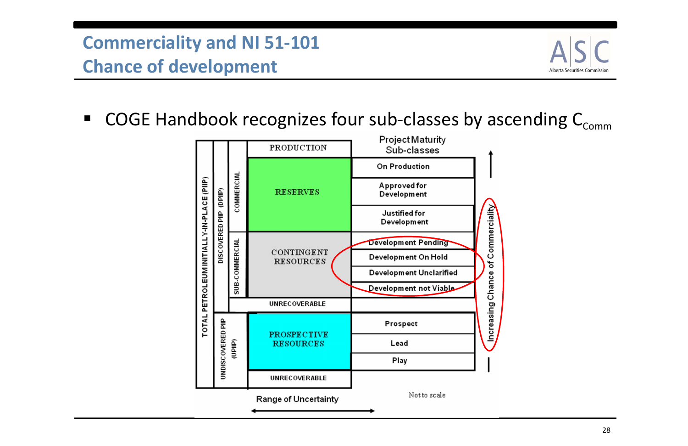### **Commerciality and NI 51‐101 Chance of development**

■ COGE Handbook recognizes four sub-classes by ascending  $C_{\text{comm}}$ 



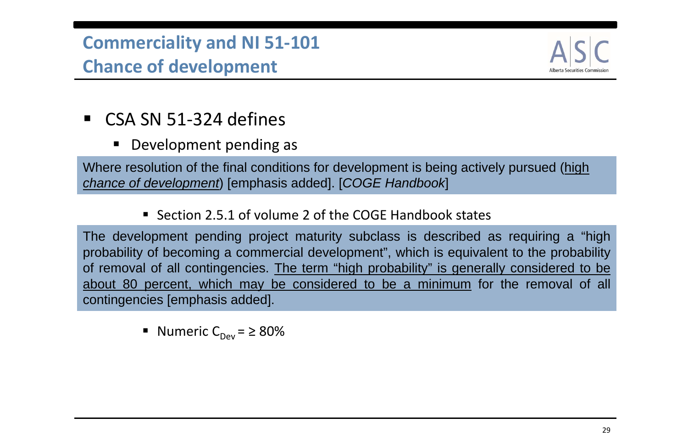$\blacksquare$ Development pending as

### **Commerciality and NI 51‐101 Chance of development**

### ■ CSA SN 51-324 defines

Where resolution of the final conditions for development is being actively pursued (high *chance of development*) [emphasis added]. [*COGE Handbook*]

■ Section 2.5.1 of volume 2 of the COGE Handbook states

The development pending project maturity subclass is described as requiring <sup>a</sup> "high probability of becoming <sup>a</sup> commercial development", which is equivalent to the probability of removal of all contingencies. The term "high probability" is generally considered to be about 80 percent, which may be considered to be <sup>a</sup> minimum for the removal of all contingencies [emphasis added].

Numeric C $_{\text{Dev}}$  =  $\geq 80\%$ 

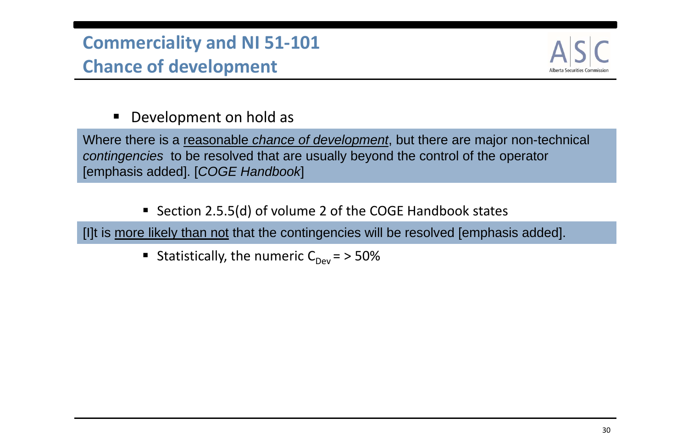### $\blacksquare$ Development on hold as

### **Commerciality and NI 51‐101 Chance of development**

Where there is a reasonable *chance of development*, but there are major non-technical *contingencies* to be resolved that are usually beyond the control of the operator [emphasis added]. [*COGE Handbook*]

■ Section 2.5.5(d) of volume 2 of the COGE Handbook states

[I]t is more likely than not that the contingencies will be resolved [emphasis added].

Statistically, the numeric  $C_{Dev} = 50\%$ 

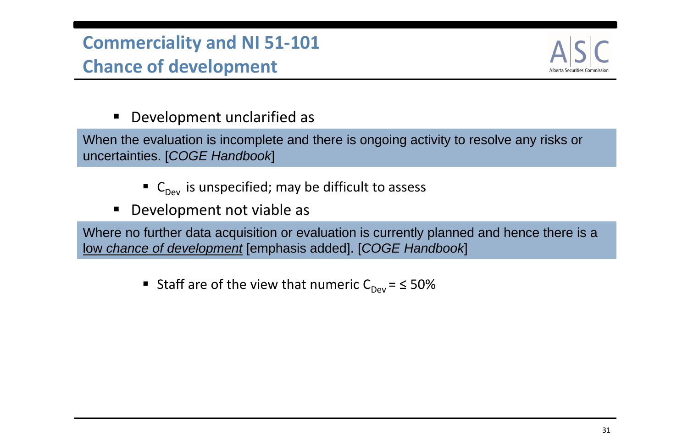### $\blacksquare$ Development unclarified as

- $\blacksquare$  C<sub>Dev</sub> is unspecified; may be difficult to assess
- $\blacksquare$ Development not viable as

When the evaluation is incomplete and there is ongoing activity to resolve any risks or uncertainties. [*COGE Handbook*]

### **Commerciality and NI 51‐101 Chance of development**

Where no further data acquisition or evaluation is currently planned and hence there is a low *chance of development* [emphasis added]. [*COGE Handbook*]

■ Staff are of the view that numeric  $C_{Dev} = 50\%$ 

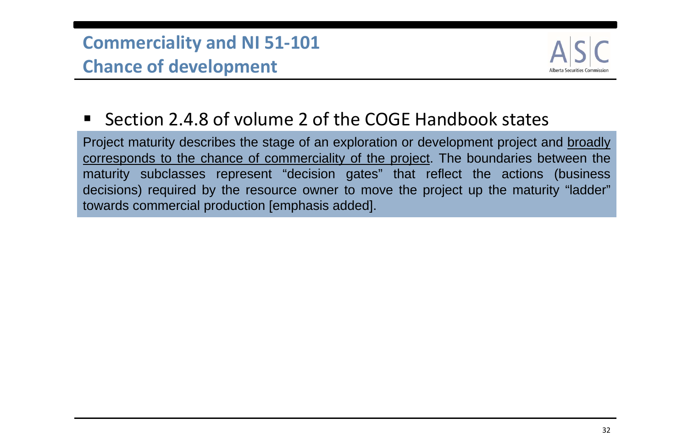### **Commerciality and NI 51‐101 Chance of development**

### ■ Section 2.4.8 of volume 2 of the COGE Handbook states

Project maturity describes the stage of an exploration or development project and broadly corresponds to the chance of commerciality of the project. The boundaries between the maturity subclasses represent "decision gates" that reflect the actions (business decisions) required by the resource owner to move the project up the maturity "ladder" towards commercial production [emphasis added].

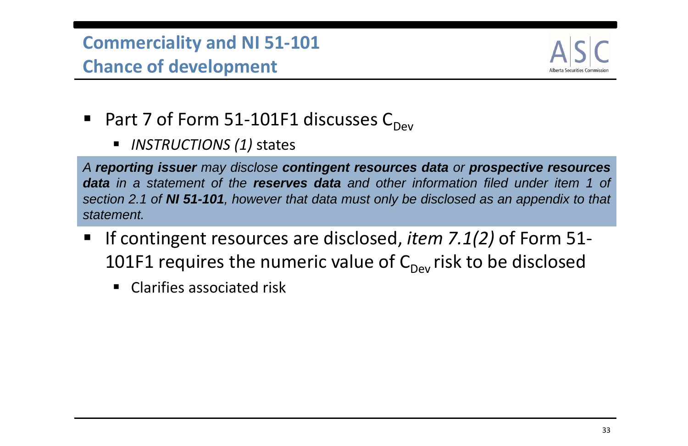- Part 7 of Form 51-101F1 discusses C<sub>Dev</sub>
	- $\blacksquare$ *INSTRUCTIONS (1)* states

### **Commerciality and NI 51‐101 Chance of development**

*A reporting issuer may disclose contingent resources data or prospective resources* **data** in a statement of the **reserves data** and other information filed under item 1 of section 2.1 of NI 51-101, however that data must only be disclosed as an appendix to that *statement.*

- If contingent resources are disclosed, *item 7.1(2)* of Form 51-101F1 requires the numeric value of  $\mathsf{C}_\mathsf{Dev}$  risk to be disclosed
	- $\blacksquare$ **E** Clarifies associated risk

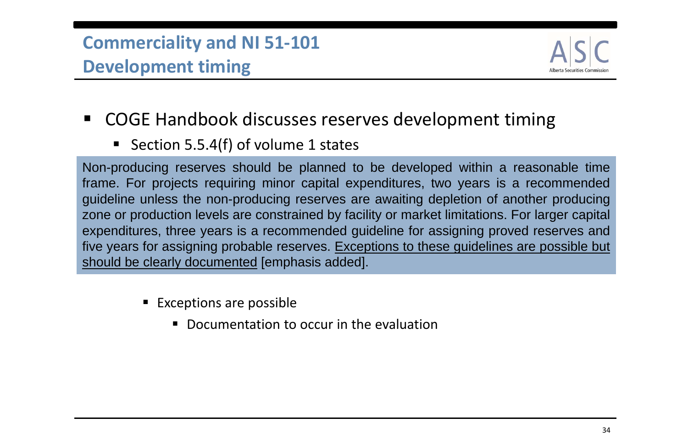Non-producing reserves should be planned to be developed within <sup>a</sup> reasonable time frame. For projects requiring minor capital expenditures, two years is <sup>a</sup> recommended guideline unless the non-producing reserves are awaiting depletion of another producing zone or production levels are constrained by facility or market limitations. For larger capital expenditures, three years is <sup>a</sup> recommended guideline for assigning proved reserves and five years for assigning probable reserves. Exceptions to these guidelines are possible but should be clearly documented [emphasis added].

- **Exceptions are possible** 
	- **Documentation to occur in the evaluation**



- COGE Handbook discusses reserves development timing
	- Section 5.5.4(f) of volume 1 states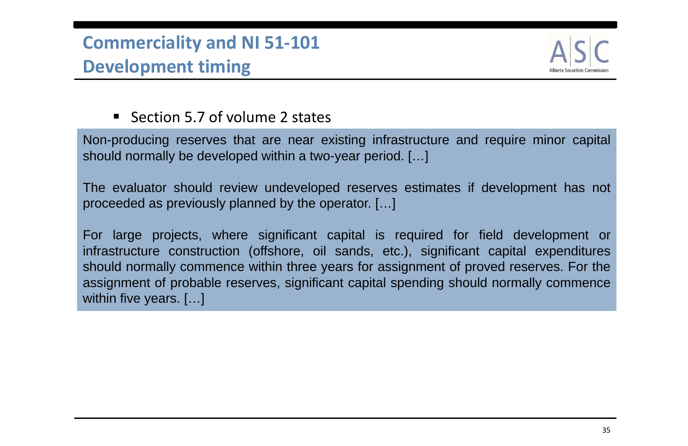### **Section 5.7 of volume 2 states**

Non-producing reserves that are near existing infrastructure and require minor capital should normally be developed within <sup>a</sup> two-year period. […]

For large projects, where significant capital is required for field development or infrastructure construction (offshore, oil sands, etc.), significant capital expenditures should normally commence within three years for assignment of proved reserves. For the assignment of probable reserves, significant capital spending should normally commence within five years. [...]



The evaluator should review undeveloped reserves estimates if development has not proceeded as previously planned by the operator. […]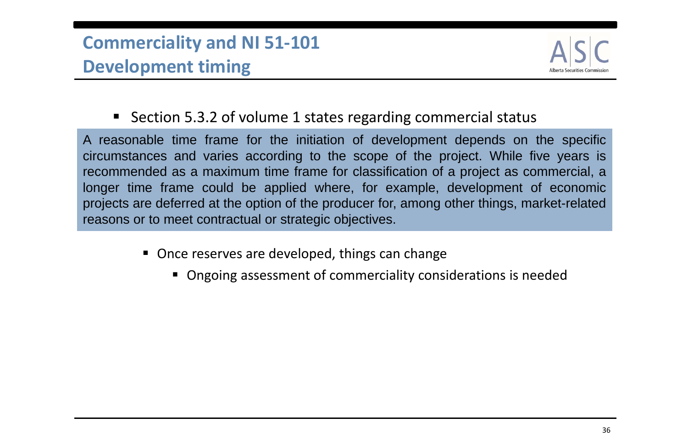- Once reserves are developed, things can change
	- Ongoing assessment of commerciality considerations is needed



■ Section 5.3.2 of volume 1 states regarding commercial status

A reasonable time frame for the initiation of development depends on the specific circumstances and varies according to the scope of the project. While five years is recommended as <sup>a</sup> maximum time frame for classification of <sup>a</sup> project as commercial, <sup>a</sup> longer time frame could be applied where, for example, development of economic projects are deferred at the option of the producer for, among other things, market-related reasons or to meet contractual or strategic objectives.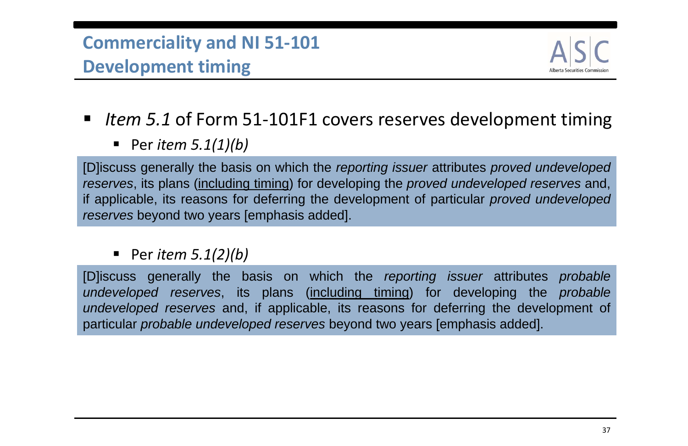- Item 5.1 of Form 51-101F1 covers reserves development timing
	- Per *item 5.1(1)(b)*

Per *item 5.1(2)(b)*

### **Commerciality and NI 51‐101 Development timing**

[D]iscuss generally the basis on which the *reporting issuer* attributes *proved undeveloped reserves*, its plans (including timing) for developing the *proved undeveloped reserves* and, if applicable, its reasons for deferring the development of particular *proved undeveloped reserves* beyond two years [emphasis added].

[D]iscuss generally the basis on which the *reporting issuer* attributes *probable undeveloped reserves*, its plans (including timing) for developing the *probable undeveloped reserves* and, if applicable, its reasons for deferring the development of particular *probable undeveloped reserves* beyond two years [emphasis added].

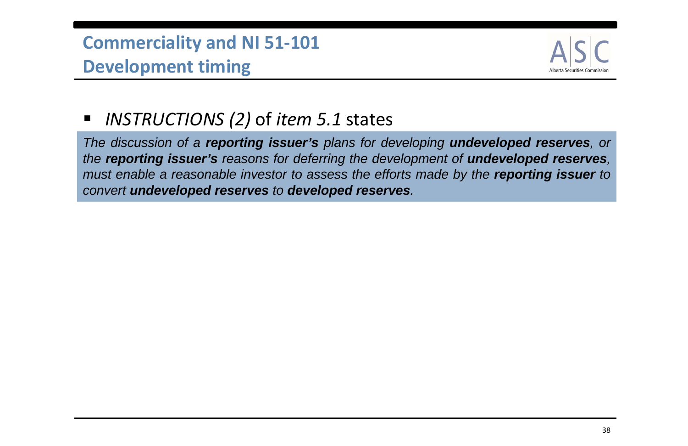### *INSTRUCTIONS (2)* of *item 5.1* states

### **Commerciality and NI 51‐101 Development timing**

The discussion of a **reporting issuer's** plans for developing **undeveloped reserves**, or *the reporting issuer's reasons for deferring the development of undeveloped reserves,* must enable a reasonable investor to assess the efforts made by the **reporting issuer** to *convert undeveloped reserves to developed reserves.*

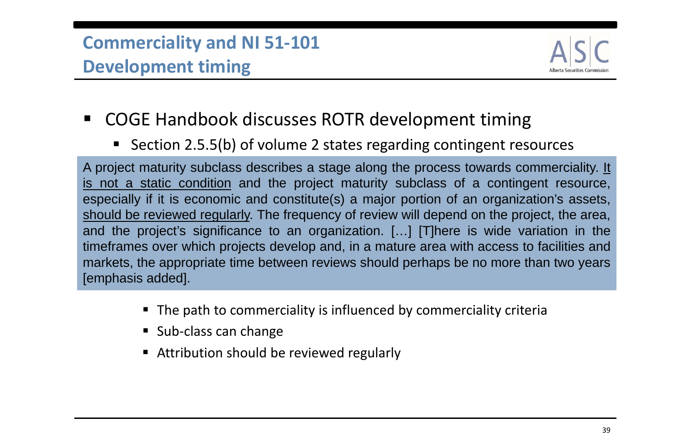- COGE Handbook discusses ROTR development timing
	- Section 2.5.5(b) of volume 2 states regarding contingent resources

A project maturity subclass describes a stage along the process towards commerciality. It is not <sup>a</sup> static condition and the project maturity subclass of <sup>a</sup> contingent resource, especially if it is economic and constitute(s) <sup>a</sup> major portion of an organization's assets, should be reviewed regularly. The frequency of review will depend on the project, the area, and the project's significance to an organization. […] [T]here is wide variation in the timeframes over which projects develop and, in <sup>a</sup> mature area with access to facilities and markets, the appropriate time between reviews should perhaps be no more than two years [emphasis added].

- The path to commerciality is influenced by commerciality criteria
- Sub-class can change
- **EXTE:** Attribution should be reviewed regularly

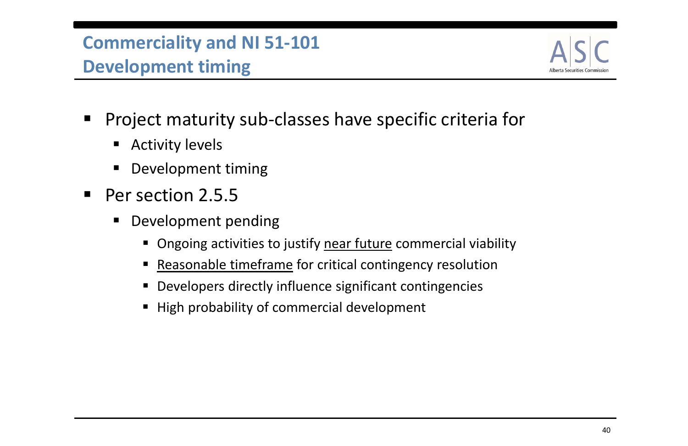- Project maturity sub‐classes have specific criteria for
	- $\blacksquare$ Activity levels
	- $\blacksquare$ Development timing
- Per section 2.5.5
	- $\blacksquare$  Development pending
		- **Ongoing activities to justify near future commercial viability**
		- $\begin{array}{c} \hline \end{array}$ **Reasonable timeframe for critical contingency resolution**
		- $\blacksquare$ Developers directly influence significant contingencies
		- High probability of commercial development



40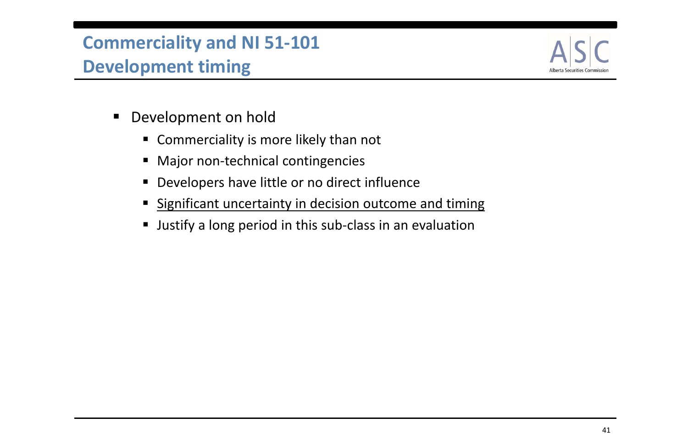- $\blacksquare$  Development on hold
	- Commerciality is more likely than not
	- $\blacksquare$ Major non-technical contingencies
	- $\blacksquare$ Developers have little or no direct influence
	- **Significant uncertainty in decision outcome and timing**
	- $\blacksquare$ Justify <sup>a</sup> long period in this sub‐class in an evaluation

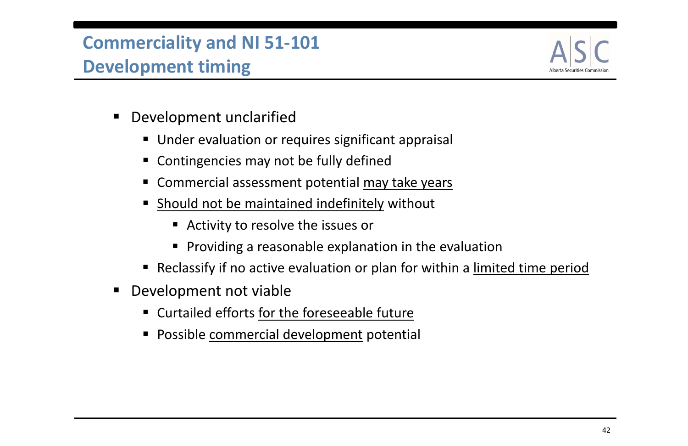- $\blacksquare$  Development unclarified
	- **Under evaluation or requires significant appraisal**
	- $\blacksquare$ Contingencies may not be fully defined
	- **Commercial assessment potential may take years**
	- $\blacksquare$ **Should not be maintained indefinitely without** 
		- Activity to resolve the issues or
		- **Providing a reasonable explanation in the evaluation**
	- **•** Reclassify if no active evaluation or plan for within a limited time period
- $\blacksquare$  Development not viable
	- Curtailed efforts for the foreseeable future
	- **Possible commercial development potential**

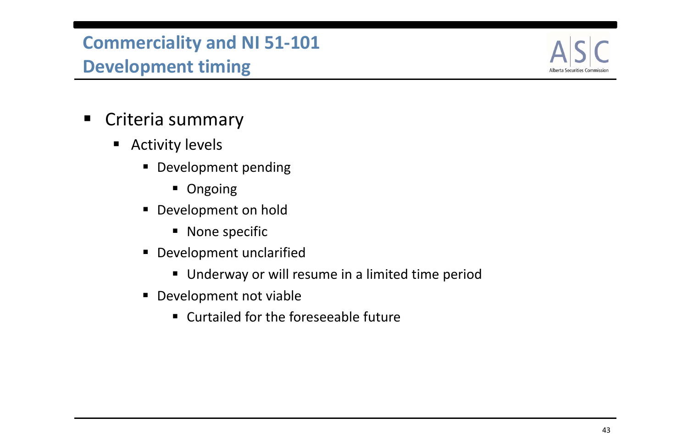- Criteria summary
	- $\blacksquare$  Activity levels
		- **Development pending** 
			- **Ongoing**
		- **Development on hold** 
			- **None specific**
		- **Development unclarified** 
			- **Underway or will resume in a limited time period**
		- **Development not viable** 
			- Curtailed for the foreseeable future

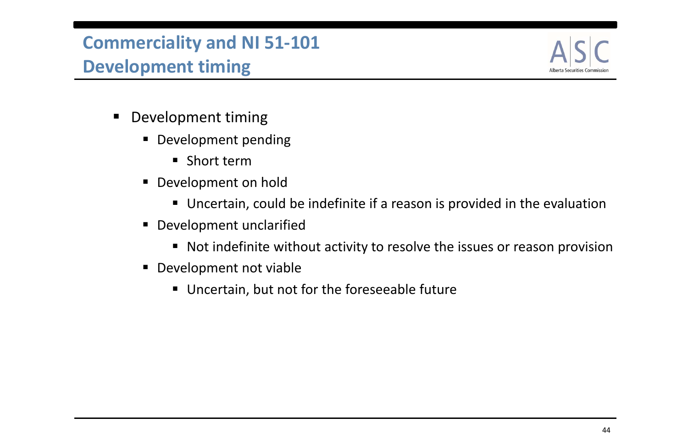- $\blacksquare$  Development timing
	- **Development pending** 
		- Short term
	- $\blacksquare$  Development on hold
		- Uncertain, could be indefinite if <sup>a</sup> reason is provided in the evaluation
	- $\blacksquare$  Development unclarified
		- Not indefinite without activity to resolve the issues or reason provision
	- **Development not viable** 
		- Uncertain, but not for the foreseeable future

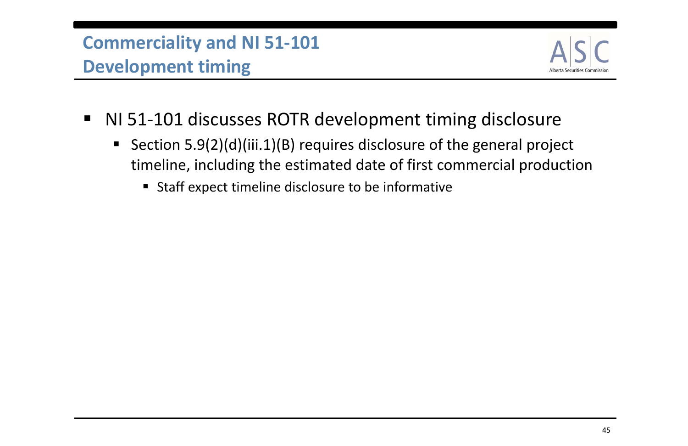- NI 51-101 discusses ROTR development timing disclosure
	- ■ Section 5.9(2)(d)(iii.1)(B) requires disclosure of the general project timeline, including the estimated date of first commercial production
		- **Staff expect timeline disclosure to be informative**

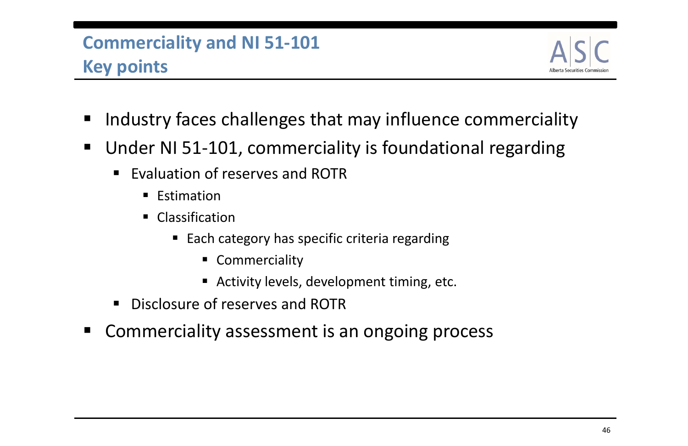- Industry faces challenges that may influence commerciality
- Under NI 51‐101, commerciality is foundational regarding
	- $\blacksquare$ **Exaluation of reserves and ROTR** 
		- **Estimation**
		- $\blacksquare$  Classification
			- Each category has specific criteria regarding
				- **EXCOMMERCIALLY**
				- Activity levels, development timing, etc.
	- $\blacksquare$ **Disclosure of reserves and ROTR**
- $\blacksquare$ Commerciality assessment is an ongoing process



### **Commerciality and NI 51‐101 Key points**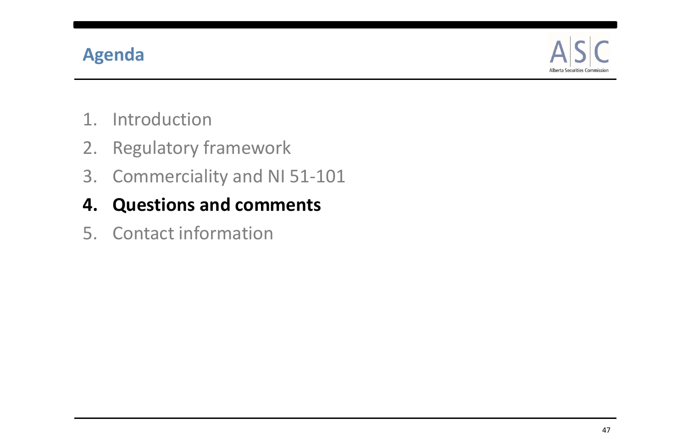### **Agenda**

- 1. Introduction
- 2. Regulatory framework
- 3. Commerciality and NI 51‐101
- **4. Questions and comments**
- 5. Contact information